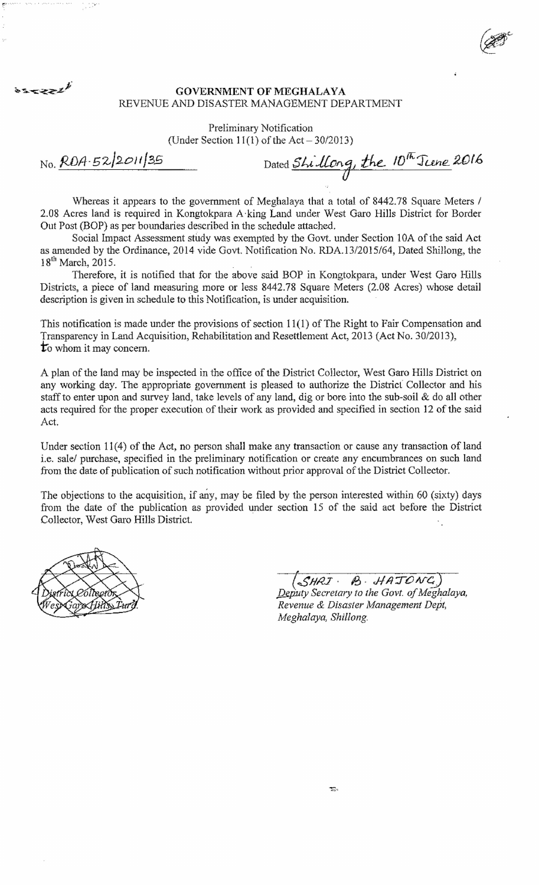## GOVERNMENT **OF** MEGHALAYA REVENUE AND DISASTER MANAGEMENT DEPARTMENT

Preliminary Notification

(Under Section 11(1) of the Act  $-30/2013$ )

No. *RDA-52/2011/35* Dated *Shillong*, the  $10^{\frac{1}{10}}$  June 2016

*-* $\theta$ 

 $\hat{z}^{\sigma}$ 

*..-c--*. *@fff* 

Whereas it appears to the government of Meghalaya that a total of 8442.78 Square Meters *1*  2.08 Acres land is required in Kongtokpara A·king Land under West Garo Hills District for Border Out Post (BOP) as per boundaries described in the schedule attached.

Social Impact Assessment study was exempted by the Govt. under Section lOA of the said Act as amended by the Ordinance, 2014 vide Govt. Notification No . *RDA.1312015/64,* Dated Shillong, the  $18^{th}$  March, 2015.

Therefore, it is notified that for the above said BOP in Kongtokpara, under West Garo Hills Districts, a piece of land measuring more or less 8442.78 Square Meters (2.08 Acres) whose detail description is given in schedule to this Notification, is under acquisition.

This notification is made under the provisions of section  $11(1)$  of The Right to Fair Compensation and Transparency in Land Acquisition, Rehabilitation and Resettlement Act, 2013 (Act No. 30/2013), to whom it may concern.

A plan of the land may be inspected in the office of the District Collector, West Garo Hills District on any working day. The appropriate government is pleased to authorize the District Collector and his staff to enter upon and survey land, take levels of any land, dig or bore into the sub-soil & do all other acts required for the proper execution of their work as provided and specified in section 12 of the said Act.

Under section 11 (4) of the Act, no person shall make any transaction or cause any transaction of land i.e. salel purchase, specified in the preliminary notification or create any encumbrances on such land from the date of publication of such notification without prior approval of the District Collector.

The objections to the acquisition, if any, may be filed by the person interested within 60 (sixty) days from the date of the publication as provided under section 15 of the said act before the District Collector, West Garo Hills District.



| $(SHRT \cdot B \cdot HATONG)$<br>Deputy Secretary to the Govt. of Meghalaya, |  |
|------------------------------------------------------------------------------|--|
|                                                                              |  |
| Revenue & Disaster Management Dept,                                          |  |
| Meghalaya, Shillong.                                                         |  |



 $x = z \geq z^{\frac{1}{2}}$ 

~.' .